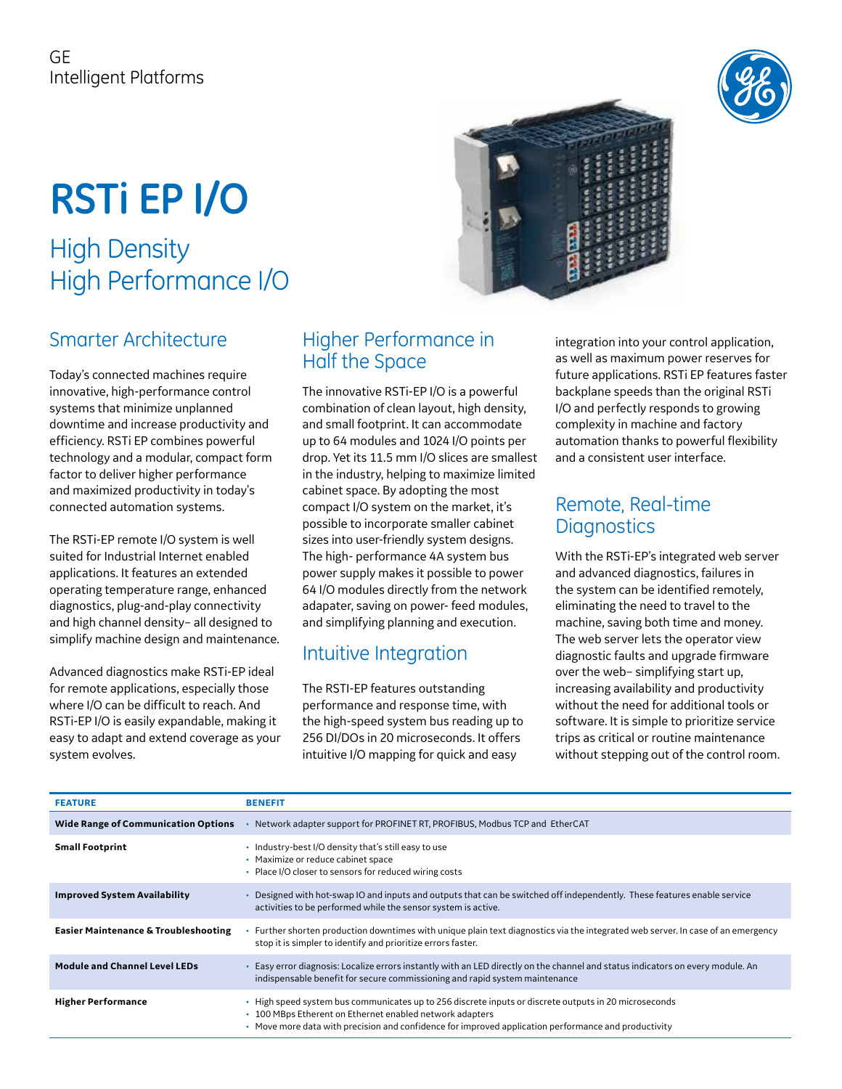# **RSTi EP I/O**

# High Density High Performance I/O

# Smarter Architecture

Today's connected machines require innovative, high-performance control systems that minimize unplanned downtime and increase productivity and efficiency. RSTi EP combines powerful technology and a modular, compact form factor to deliver higher performance and maximized productivity in today's connected automation systems.

The RSTi-EP remote I/O system is well suited for Industrial Internet enabled applications. It features an extended operating temperature range, enhanced diagnostics, plug-and-play connectivity and high channel density– all designed to simplify machine design and maintenance.

Advanced diagnostics make RSTi-EP ideal for remote applications, especially those where I/O can be difficult to reach. And RSTi-EP I/O is easily expandable, making it easy to adapt and extend coverage as your system evolves.

# Higher Performance in Half the Space

The innovative RSTi-EP I/O is a powerful combination of clean layout, high density, and small footprint. It can accommodate up to 64 modules and 1024 I/O points per drop. Yet its 11.5 mm I/O slices are smallest in the industry, helping to maximize limited cabinet space. By adopting the most compact I/O system on the market, it's possible to incorporate smaller cabinet sizes into user-friendly system designs. The high- performance 4A system bus power supply makes it possible to power 64 I/O modules directly from the network adapater, saving on power- feed modules, and simplifying planning and execution.

# Intuitive Integration

The RSTI-EP features outstanding performance and response time, with the high-speed system bus reading up to 256 DI/DOs in 20 microseconds. It offers intuitive I/O mapping for quick and easy

integration into your control application, as well as maximum power reserves for future applications. RSTi EP features faster backplane speeds than the original RSTi I/O and perfectly responds to growing complexity in machine and factory automation thanks to powerful flexibility and a consistent user interface.

## Remote, Real-time **Diagnostics**

With the RSTi-EP's integrated web server and advanced diagnostics, failures in the system can be identified remotely, eliminating the need to travel to the machine, saving both time and money. The web server lets the operator view diagnostic faults and upgrade firmware over the web– simplifying start up, increasing availability and productivity without the need for additional tools or software. It is simple to prioritize service trips as critical or routine maintenance without stepping out of the control room.

| <b>FEATURE</b>                                  | <b>BENEFIT</b>                                                                                                                                                                                                                                                            |
|-------------------------------------------------|---------------------------------------------------------------------------------------------------------------------------------------------------------------------------------------------------------------------------------------------------------------------------|
| <b>Wide Range of Communication Options</b>      | Network adapter support for PROFINET RT, PROFIBUS, Modbus TCP and EtherCAT                                                                                                                                                                                                |
| <b>Small Footprint</b>                          | • Industry-best I/O density that's still easy to use<br>• Maximize or reduce cabinet space<br>• Place I/O closer to sensors for reduced wiring costs                                                                                                                      |
| <b>Improved System Availability</b>             | Designed with hot-swap IO and inputs and outputs that can be switched off independently. These features enable service<br>activities to be performed while the sensor system is active.                                                                                   |
| <b>Easier Maintenance &amp; Troubleshooting</b> | Further shorten production downtimes with unique plain text diagnostics via the integrated web server. In case of an emergency<br>stop it is simpler to identify and prioritize errors faster.                                                                            |
| <b>Module and Channel Level LEDs</b>            | Easy error diagnosis: Localize errors instantly with an LED directly on the channel and status indicators on every module. An<br>indispensable benefit for secure commissioning and rapid system maintenance                                                              |
| <b>Higher Performance</b>                       | • High speed system bus communicates up to 256 discrete inputs or discrete outputs in 20 microseconds<br>• 100 MBps Etherent on Ethernet enabled network adapters<br>• Move more data with precision and confidence for improved application performance and productivity |